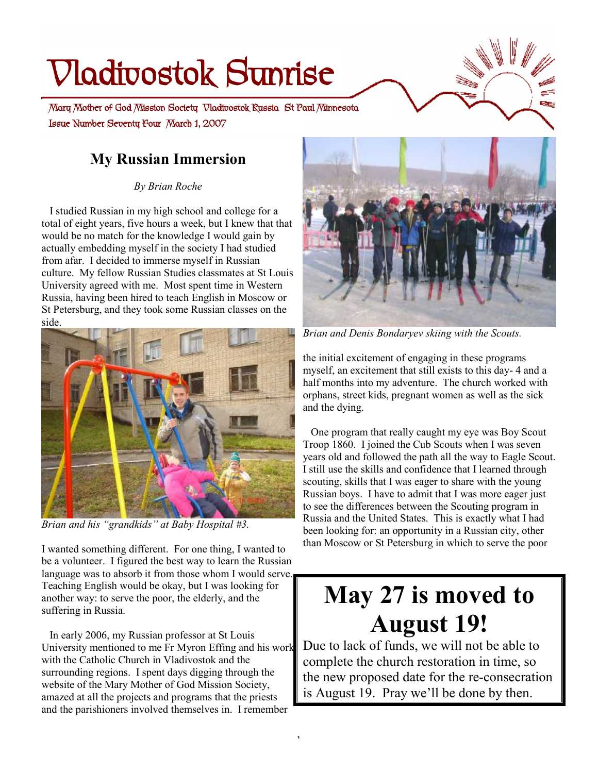# **Vladivostok Sunrise**

 **Issue Number Seventy Four March 1, 2007 Mary Mother of God Mission Society Vladivostok Russia St Paul Minnesota** 

# **My Russian Immersion**

*By Brian Roche* 

 I studied Russian in my high school and college for a total of eight years, five hours a week, but I knew that that would be no match for the knowledge I would gain by actually embedding myself in the society I had studied from afar. I decided to immerse myself in Russian culture. My fellow Russian Studies classmates at St Louis University agreed with me. Most spent time in Western Russia, having been hired to teach English in Moscow or St Petersburg, and they took some Russian classes on the side.



*Brian and his "grandkids" at Baby Hospital #3.* 

I wanted something different. For one thing, I wanted to be a volunteer. I figured the best way to learn the Russian language was to absorb it from those whom I would serve. Teaching English would be okay, but I was looking for another way: to serve the poor, the elderly, and the suffering in Russia.

 In early 2006, my Russian professor at St Louis University mentioned to me Fr Myron Effing and his work with the Catholic Church in Vladivostok and the surrounding regions. I spent days digging through the website of the Mary Mother of God Mission Society, amazed at all the projects and programs that the priests and the parishioners involved themselves in. I remember

1



*Brian and Denis Bondaryev skiing with the Scouts.* 

the initial excitement of engaging in these programs myself, an excitement that still exists to this day- 4 and a half months into my adventure. The church worked with orphans, street kids, pregnant women as well as the sick and the dying.

 One program that really caught my eye was Boy Scout Troop 1860. I joined the Cub Scouts when I was seven years old and followed the path all the way to Eagle Scout. I still use the skills and confidence that I learned through scouting, skills that I was eager to share with the young Russian boys. I have to admit that I was more eager just to see the differences between the Scouting program in Russia and the United States. This is exactly what I had been looking for: an opportunity in a Russian city, other than Moscow or St Petersburg in which to serve the poor

# **May 27 is moved to August 19!**

Due to lack of funds, we will not be able to complete the church restoration in time, so the new proposed date for the re-consecration is August 19. Pray we'll be done by then.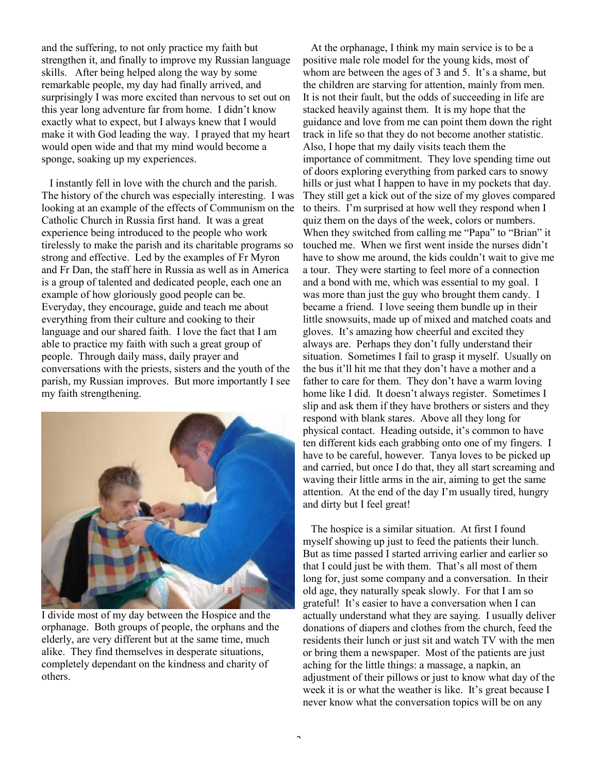and the suffering, to not only practice my faith but strengthen it, and finally to improve my Russian language skills. After being helped along the way by some remarkable people, my day had finally arrived, and surprisingly I was more excited than nervous to set out on this year long adventure far from home. I didn't know exactly what to expect, but I always knew that I would make it with God leading the way. I prayed that my heart would open wide and that my mind would become a sponge, soaking up my experiences.

 I instantly fell in love with the church and the parish. The history of the church was especially interesting. I was looking at an example of the effects of Communism on the Catholic Church in Russia first hand. It was a great experience being introduced to the people who work tirelessly to make the parish and its charitable programs so strong and effective. Led by the examples of Fr Myron and Fr Dan, the staff here in Russia as well as in America is a group of talented and dedicated people, each one an example of how gloriously good people can be. Everyday, they encourage, guide and teach me about everything from their culture and cooking to their language and our shared faith. I love the fact that I am able to practice my faith with such a great group of people. Through daily mass, daily prayer and conversations with the priests, sisters and the youth of the parish, my Russian improves. But more importantly I see my faith strengthening.



I divide most of my day between the Hospice and the orphanage. Both groups of people, the orphans and the elderly, are very different but at the same time, much alike. They find themselves in desperate situations, completely dependant on the kindness and charity of others.

 At the orphanage, I think my main service is to be a positive male role model for the young kids, most of whom are between the ages of 3 and 5. It's a shame, but the children are starving for attention, mainly from men. It is not their fault, but the odds of succeeding in life are stacked heavily against them. It is my hope that the guidance and love from me can point them down the right track in life so that they do not become another statistic. Also, I hope that my daily visits teach them the importance of commitment. They love spending time out of doors exploring everything from parked cars to snowy hills or just what I happen to have in my pockets that day. They still get a kick out of the size of my gloves compared to theirs. I'm surprised at how well they respond when I quiz them on the days of the week, colors or numbers. When they switched from calling me "Papa" to "Brian" it touched me. When we first went inside the nurses didn't have to show me around, the kids couldn't wait to give me a tour. They were starting to feel more of a connection and a bond with me, which was essential to my goal. I was more than just the guy who brought them candy. I became a friend. I love seeing them bundle up in their little snowsuits, made up of mixed and matched coats and gloves. It's amazing how cheerful and excited they always are. Perhaps they don't fully understand their situation. Sometimes I fail to grasp it myself. Usually on the bus it'll hit me that they don't have a mother and a father to care for them. They don't have a warm loving home like I did. It doesn't always register. Sometimes I slip and ask them if they have brothers or sisters and they respond with blank stares. Above all they long for physical contact. Heading outside, it's common to have ten different kids each grabbing onto one of my fingers. I have to be careful, however. Tanya loves to be picked up and carried, but once I do that, they all start screaming and waving their little arms in the air, aiming to get the same attention. At the end of the day I'm usually tired, hungry and dirty but I feel great!

 The hospice is a similar situation. At first I found myself showing up just to feed the patients their lunch. But as time passed I started arriving earlier and earlier so that I could just be with them. That's all most of them long for, just some company and a conversation. In their old age, they naturally speak slowly. For that I am so grateful! It's easier to have a conversation when I can actually understand what they are saying. I usually deliver donations of diapers and clothes from the church, feed the residents their lunch or just sit and watch TV with the men or bring them a newspaper. Most of the patients are just aching for the little things: a massage, a napkin, an adjustment of their pillows or just to know what day of the week it is or what the weather is like. It's great because I never know what the conversation topics will be on any

 $\overline{\phantom{a}}$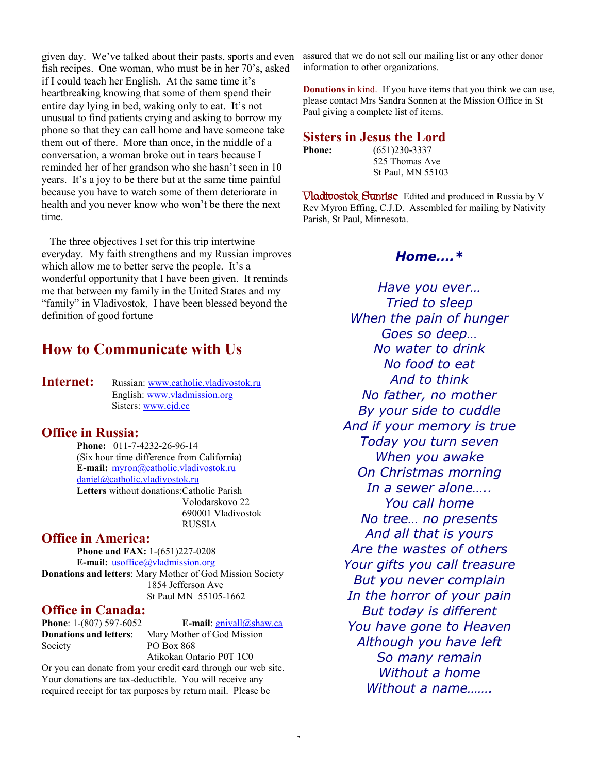given day. We've talked about their pasts, sports and even fish recipes. One woman, who must be in her 70's, asked if I could teach her English. At the same time it's heartbreaking knowing that some of them spend their entire day lying in bed, waking only to eat. It's not unusual to find patients crying and asking to borrow my phone so that they can call home and have someone take them out of there. More than once, in the middle of a conversation, a woman broke out in tears because I reminded her of her grandson who she hasn't seen in 10 years. It's a joy to be there but at the same time painful because you have to watch some of them deteriorate in health and you never know who won't be there the next time.

 The three objectives I set for this trip intertwine everyday. My faith strengthens and my Russian improves which allow me to better serve the people. It's a wonderful opportunity that I have been given. It reminds me that between my family in the United States and my "family" in Vladivostok, I have been blessed beyond the definition of good fortune

## **How to Communicate with Us**

**Internet:** Russian: [www.catholic.vladivostok.ru](http://www.catholic.vladivostok.ru) English: [www.vladmission.org](http://www.vladmission.org) Sisters: [www.cjd.cc](http://www.cjd.cc)

#### **Office in Russia:**

**Phone:** 011-7-4232-26-96-14 (Six hour time difference from California) **E-mail:** [myron@catholic.vladivostok.ru](mailto:myron@catholic.vladivostok.ru) [daniel@catholic.vladivostok.ru](mailto:daniel@catholic.vladivostok.ru) **Letters** without donations:Catholic Parish Volodarskovo 22 690001 Vladivostok RUSSIA

#### **Office in America:**

**Phone and FAX:** 1-(651)227-0208 **E-mail:** [usoffice@vladmission.org](mailto:usoffice@vladmission.org) **Donations and letters**: Mary Mother of God Mission Society 1854 Jefferson Ave St Paul MN 55105-1662

#### **Office in Canada:**

**Donations and letters**: Mary Mother of God Mission

**Phone**: 1-(807) 597-6052 **E-mail**: [gnivall@shaw.ca](mailto:gnivall@shaw.ca)

Society PO Box 868 Atikokan Ontario P0T 1C0 Or you can donate from your credit card through our web site. Your donations are tax-deductible. You will receive any required receipt for tax purposes by return mail. Please be

assured that we do not sell our mailing list or any other donor information to other organizations.

**Donations** in kind. If you have items that you think we can use, please contact Mrs Sandra Sonnen at the Mission Office in St Paul giving a complete list of items.

**Sisters in Jesus the Lord** 

**Phone:** (651)230-3337 525 Thomas Ave St Paul, MN 55103

**Vladivostok Sunrise** Edited and produced in Russia by V Rev Myron Effing, C.J.D. Assembled for mailing by Nativity Parish, St Paul, Minnesota.

#### *Home….\**

*Have you ever… Tried to sleep When the pain of hunger Goes so deep… No water to drink No food to eat And to think No father, no mother By your side to cuddle And if your memory is true Today you turn seven When you awake On Christmas morning In a sewer alone….. You call home No tree… no presents And all that is yours Are the wastes of others Your gifts you call treasure But you never complain In the horror of your pain But today is different You have gone to Heaven Although you have left So many remain Without a home Without a name…….*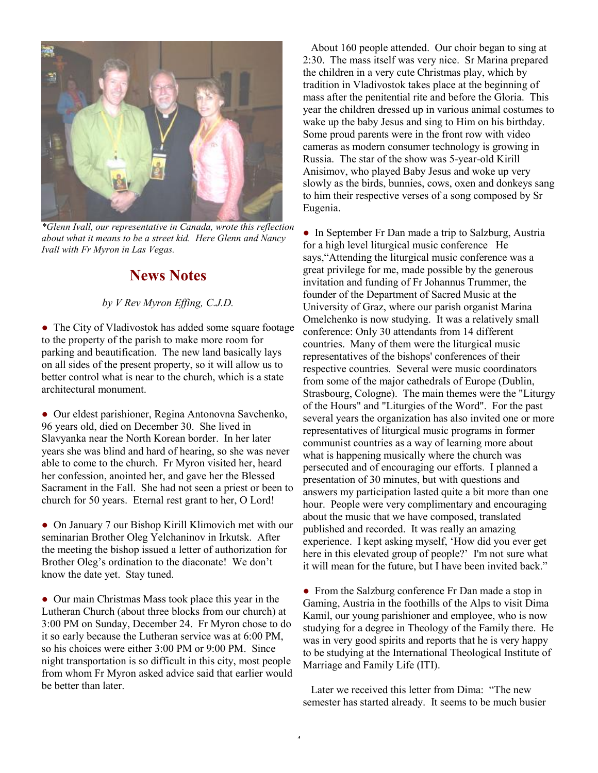

*\*Glenn Ivall, our representative in Canada, wrote this reflection about what it means to be a street kid. Here Glenn and Nancy Ivall with Fr Myron in Las Vegas.* 

# **News Notes**

#### *by V Rev Myron Effing, C.J.D.*

• The City of Vladivostok has added some square footage to the property of the parish to make more room for parking and beautification. The new land basically lays on all sides of the present property, so it will allow us to better control what is near to the church, which is a state architectural monument.

● Our eldest parishioner, Regina Antonovna Savchenko, 96 years old, died on December 30. She lived in Slavyanka near the North Korean border. In her later years she was blind and hard of hearing, so she was never able to come to the church. Fr Myron visited her, heard her confession, anointed her, and gave her the Blessed Sacrament in the Fall. She had not seen a priest or been to church for 50 years. Eternal rest grant to her, O Lord!

● On January 7 our Bishop Kirill Klimovich met with our seminarian Brother Oleg Yelchaninov in Irkutsk. After the meeting the bishop issued a letter of authorization for Brother Oleg's ordination to the diaconate! We don't know the date yet. Stay tuned.

• Our main Christmas Mass took place this year in the Lutheran Church (about three blocks from our church) at 3:00 PM on Sunday, December 24. Fr Myron chose to do it so early because the Lutheran service was at 6:00 PM, so his choices were either 3:00 PM or 9:00 PM. Since night transportation is so difficult in this city, most people from whom Fr Myron asked advice said that earlier would be better than later.

 About 160 people attended. Our choir began to sing at 2:30. The mass itself was very nice. Sr Marina prepared the children in a very cute Christmas play, which by tradition in Vladivostok takes place at the beginning of mass after the penitential rite and before the Gloria. This year the children dressed up in various animal costumes to wake up the baby Jesus and sing to Him on his birthday. Some proud parents were in the front row with video cameras as modern consumer technology is growing in Russia. The star of the show was 5-year-old Kirill Anisimov, who played Baby Jesus and woke up very slowly as the birds, bunnies, cows, oxen and donkeys sang to him their respective verses of a song composed by Sr Eugenia.

• In September Fr Dan made a trip to Salzburg, Austria for a high level liturgical music conference He says,"Attending the liturgical music conference was a great privilege for me, made possible by the generous invitation and funding of Fr Johannus Trummer, the founder of the Department of Sacred Music at the University of Graz, where our parish organist Marina Omelchenko is now studying. It was a relatively small conference: Only 30 attendants from 14 different countries. Many of them were the liturgical music representatives of the bishops' conferences of their respective countries. Several were music coordinators from some of the major cathedrals of Europe (Dublin, Strasbourg, Cologne). The main themes were the "Liturgy of the Hours" and "Liturgies of the Word". For the past several years the organization has also invited one or more representatives of liturgical music programs in former communist countries as a way of learning more about what is happening musically where the church was persecuted and of encouraging our efforts. I planned a presentation of 30 minutes, but with questions and answers my participation lasted quite a bit more than one hour. People were very complimentary and encouraging about the music that we have composed, translated published and recorded. It was really an amazing experience. I kept asking myself, 'How did you ever get here in this elevated group of people?' I'm not sure what it will mean for the future, but I have been invited back."

• From the Salzburg conference Fr Dan made a stop in Gaming, Austria in the foothills of the Alps to visit Dima Kamil, our young parishioner and employee, who is now studying for a degree in Theology of the Family there. He was in very good spirits and reports that he is very happy to be studying at the International Theological Institute of Marriage and Family Life (ITI).

 Later we received this letter from Dima: "The new semester has started already. It seems to be much busier

4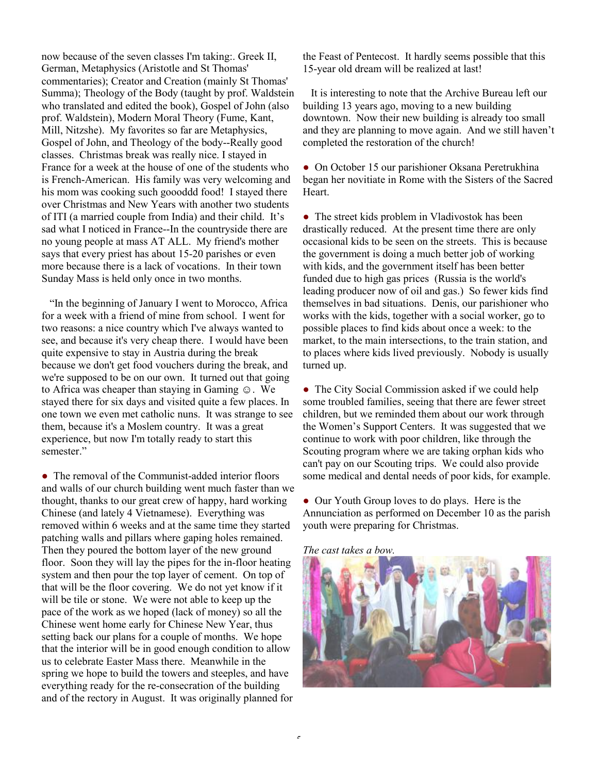now because of the seven classes I'm taking:. Greek II, German, Metaphysics (Aristotle and St Thomas' commentaries); Creator and Creation (mainly St Thomas' Summa); Theology of the Body (taught by prof. Waldstein who translated and edited the book), Gospel of John (also prof. Waldstein), Modern Moral Theory (Fume, Kant, Mill, Nitzshe). My favorites so far are Metaphysics, Gospel of John, and Theology of the body--Really good classes. Christmas break was really nice. I stayed in France for a week at the house of one of the students who is French-American. His family was very welcoming and his mom was cooking such goooddd food! I stayed there over Christmas and New Years with another two students of ITI (a married couple from India) and their child. It's sad what I noticed in France--In the countryside there are no young people at mass AT ALL. My friend's mother says that every priest has about 15-20 parishes or even more because there is a lack of vocations. In their town Sunday Mass is held only once in two months.

 "In the beginning of January I went to Morocco, Africa for a week with a friend of mine from school. I went for two reasons: a nice country which I've always wanted to see, and because it's very cheap there. I would have been quite expensive to stay in Austria during the break because we don't get food vouchers during the break, and we're supposed to be on our own. It turned out that going to Africa was cheaper than staying in Gaming  $\odot$ . We stayed there for six days and visited quite a few places. In one town we even met catholic nuns. It was strange to see them, because it's a Moslem country. It was a great experience, but now I'm totally ready to start this semester."

• The removal of the Communist-added interior floors and walls of our church building went much faster than we thought, thanks to our great crew of happy, hard working Chinese (and lately 4 Vietnamese). Everything was removed within 6 weeks and at the same time they started patching walls and pillars where gaping holes remained. Then they poured the bottom layer of the new ground floor. Soon they will lay the pipes for the in-floor heating system and then pour the top layer of cement. On top of that will be the floor covering. We do not yet know if it will be tile or stone. We were not able to keep up the pace of the work as we hoped (lack of money) so all the Chinese went home early for Chinese New Year, thus setting back our plans for a couple of months. We hope that the interior will be in good enough condition to allow us to celebrate Easter Mass there. Meanwhile in the spring we hope to build the towers and steeples, and have everything ready for the re-consecration of the building and of the rectory in August. It was originally planned for the Feast of Pentecost. It hardly seems possible that this 15-year old dream will be realized at last!

 It is interesting to note that the Archive Bureau left our building 13 years ago, moving to a new building downtown. Now their new building is already too small and they are planning to move again. And we still haven't completed the restoration of the church!

• On October 15 our parishioner Oksana Peretrukhina began her novitiate in Rome with the Sisters of the Sacred **Heart**.

• The street kids problem in Vladivostok has been drastically reduced. At the present time there are only occasional kids to be seen on the streets. This is because the government is doing a much better job of working with kids, and the government itself has been better funded due to high gas prices (Russia is the world's leading producer now of oil and gas.) So fewer kids find themselves in bad situations. Denis, our parishioner who works with the kids, together with a social worker, go to possible places to find kids about once a week: to the market, to the main intersections, to the train station, and to places where kids lived previously. Nobody is usually turned up.

• The City Social Commission asked if we could help some troubled families, seeing that there are fewer street children, but we reminded them about our work through the Women's Support Centers. It was suggested that we continue to work with poor children, like through the Scouting program where we are taking orphan kids who can't pay on our Scouting trips. We could also provide some medical and dental needs of poor kids, for example.

• Our Youth Group loves to do plays. Here is the Annunciation as performed on December 10 as the parish youth were preparing for Christmas.

*The cast takes a bow.* 

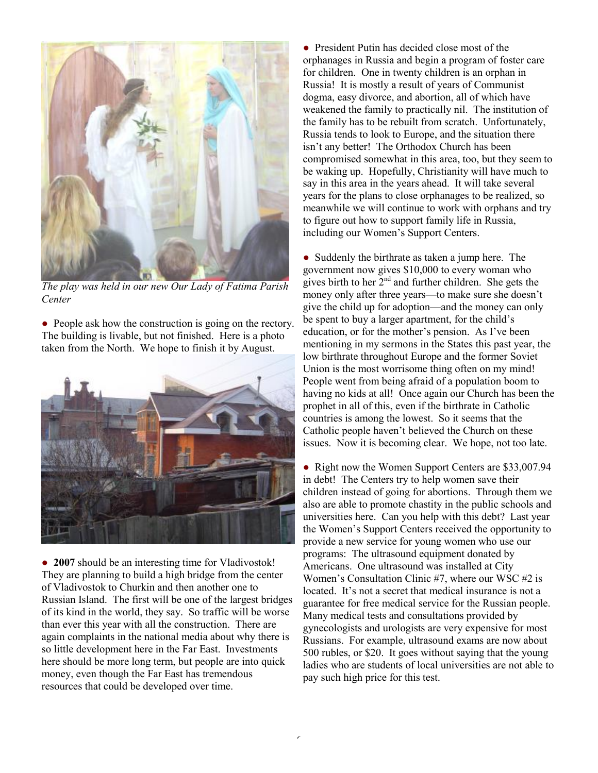

*The play was held in our new Our Lady of Fatima Parish Center* 

• People ask how the construction is going on the rectory. The building is livable, but not finished. Here is a photo taken from the North. We hope to finish it by August.



• 2007 should be an interesting time for Vladivostok! They are planning to build a high bridge from the center of Vladivostok to Churkin and then another one to Russian Island. The first will be one of the largest bridges of its kind in the world, they say. So traffic will be worse than ever this year with all the construction. There are again complaints in the national media about why there is so little development here in the Far East. Investments here should be more long term, but people are into quick money, even though the Far East has tremendous resources that could be developed over time.

• President Putin has decided close most of the orphanages in Russia and begin a program of foster care for children. One in twenty children is an orphan in Russia! It is mostly a result of years of Communist dogma, easy divorce, and abortion, all of which have weakened the family to practically nil. The institution of the family has to be rebuilt from scratch. Unfortunately, Russia tends to look to Europe, and the situation there isn't any better! The Orthodox Church has been compromised somewhat in this area, too, but they seem to be waking up. Hopefully, Christianity will have much to say in this area in the years ahead. It will take several years for the plans to close orphanages to be realized, so meanwhile we will continue to work with orphans and try to figure out how to support family life in Russia, including our Women's Support Centers.

• Suddenly the birthrate as taken a jump here. The government now gives \$10,000 to every woman who gives birth to her  $2<sup>nd</sup>$  and further children. She gets the money only after three years—to make sure she doesn't give the child up for adoption—and the money can only be spent to buy a larger apartment, for the child's education, or for the mother's pension. As I've been mentioning in my sermons in the States this past year, the low birthrate throughout Europe and the former Soviet Union is the most worrisome thing often on my mind! People went from being afraid of a population boom to having no kids at all! Once again our Church has been the prophet in all of this, even if the birthrate in Catholic countries is among the lowest. So it seems that the Catholic people haven't believed the Church on these issues. Now it is becoming clear. We hope, not too late.

• Right now the Women Support Centers are \$33,007.94 in debt! The Centers try to help women save their children instead of going for abortions. Through them we also are able to promote chastity in the public schools and universities here. Can you help with this debt? Last year the Women's Support Centers received the opportunity to provide a new service for young women who use our programs: The ultrasound equipment donated by Americans. One ultrasound was installed at City Women's Consultation Clinic #7, where our WSC #2 is located. It's not a secret that medical insurance is not a guarantee for free medical service for the Russian people. Many medical tests and consultations provided by gynecologists and urologists are very expensive for most Russians. For example, ultrasound exams are now about 500 rubles, or \$20. It goes without saying that the young ladies who are students of local universities are not able to pay such high price for this test.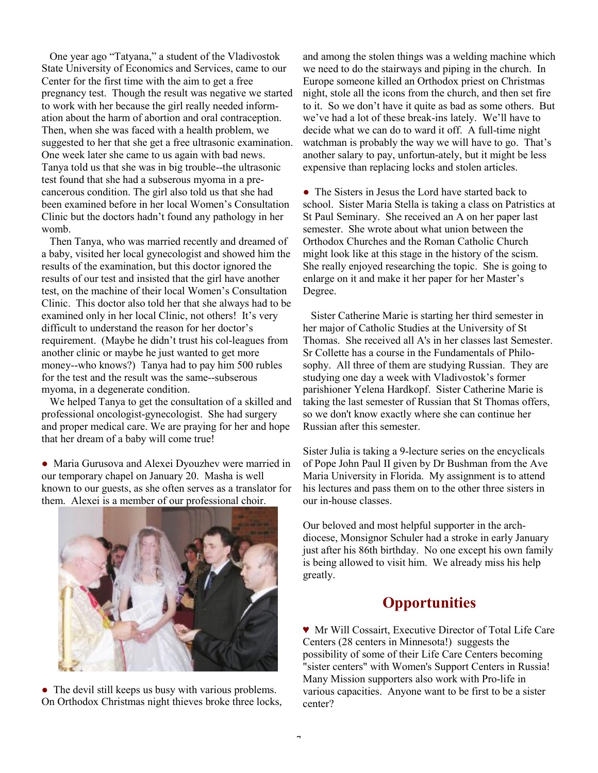One year ago "Tatyana," a student of the Vladivostok State University of Economics and Services, came to our Center for the first time with the aim to get a free pregnancy test. Though the result was negative we started to work with her because the girl really needed information about the harm of abortion and oral contraception. Then, when she was faced with a health problem, we suggested to her that she get a free ultrasonic examination. One week later she came to us again with bad news. Tanya told us that she was in big trouble--the ultrasonic test found that she had a subserous myoma in a precancerous condition. The girl also told us that she had been examined before in her local Women's Consultation Clinic but the doctors hadn't found any pathology in her womb.

 Then Tanya, who was married recently and dreamed of a baby, visited her local gynecologist and showed him the results of the examination, but this doctor ignored the results of our test and insisted that the girl have another test, on the machine of their local Women's Consultation Clinic. This doctor also told her that she always had to be examined only in her local Clinic, not others! It's very difficult to understand the reason for her doctor's requirement. (Maybe he didn't trust his col-leagues from another clinic or maybe he just wanted to get more money--who knows?) Tanya had to pay him 500 rubles for the test and the result was the same--subserous myoma, in a degenerate condition.

 We helped Tanya to get the consultation of a skilled and professional oncologist-gynecologist. She had surgery and proper medical care. We are praying for her and hope that her dream of a baby will come true!

● Maria Gurusova and Alexei Dyouzhev were married in our temporary chapel on January 20. Masha is well known to our guests, as she often serves as a translator for them. Alexei is a member of our professional choir.



• The devil still keeps us busy with various problems. On Orthodox Christmas night thieves broke three locks, and among the stolen things was a welding machine which we need to do the stairways and piping in the church. In Europe someone killed an Orthodox priest on Christmas night, stole all the icons from the church, and then set fire to it. So we don't have it quite as bad as some others. But we've had a lot of these break-ins lately. We'll have to decide what we can do to ward it off. A full-time night watchman is probably the way we will have to go. That's another salary to pay, unfortun-ately, but it might be less expensive than replacing locks and stolen articles.

• The Sisters in Jesus the Lord have started back to school. Sister Maria Stella is taking a class on Patristics at St Paul Seminary. She received an A on her paper last semester. She wrote about what union between the Orthodox Churches and the Roman Catholic Church might look like at this stage in the history of the scism. She really enjoyed researching the topic. She is going to enlarge on it and make it her paper for her Master's Degree.

 Sister Catherine Marie is starting her third semester in her major of Catholic Studies at the University of St Thomas. She received all A's in her classes last Semester. Sr Collette has a course in the Fundamentals of Philosophy. All three of them are studying Russian. They are studying one day a week with Vladivostok's former parishioner Yelena Hardkopf. Sister Catherine Marie is taking the last semester of Russian that St Thomas offers, so we don't know exactly where she can continue her Russian after this semester.

Sister Julia is taking a 9-lecture series on the encyclicals of Pope John Paul II given by Dr Bushman from the Ave Maria University in Florida. My assignment is to attend his lectures and pass them on to the other three sisters in our in-house classes.

Our beloved and most helpful supporter in the archdiocese, Monsignor Schuler had a stroke in early January just after his 86th birthday. No one except his own family is being allowed to visit him. We already miss his help greatly.

# **Opportunities**

♥ Mr Will Cossairt, Executive Director of Total Life Care Centers (28 centers in Minnesota!) suggests the possibility of some of their Life Care Centers becoming "sister centers" with Women's Support Centers in Russia! Many Mission supporters also work with Pro-life in various capacities. Anyone want to be first to be a sister center?